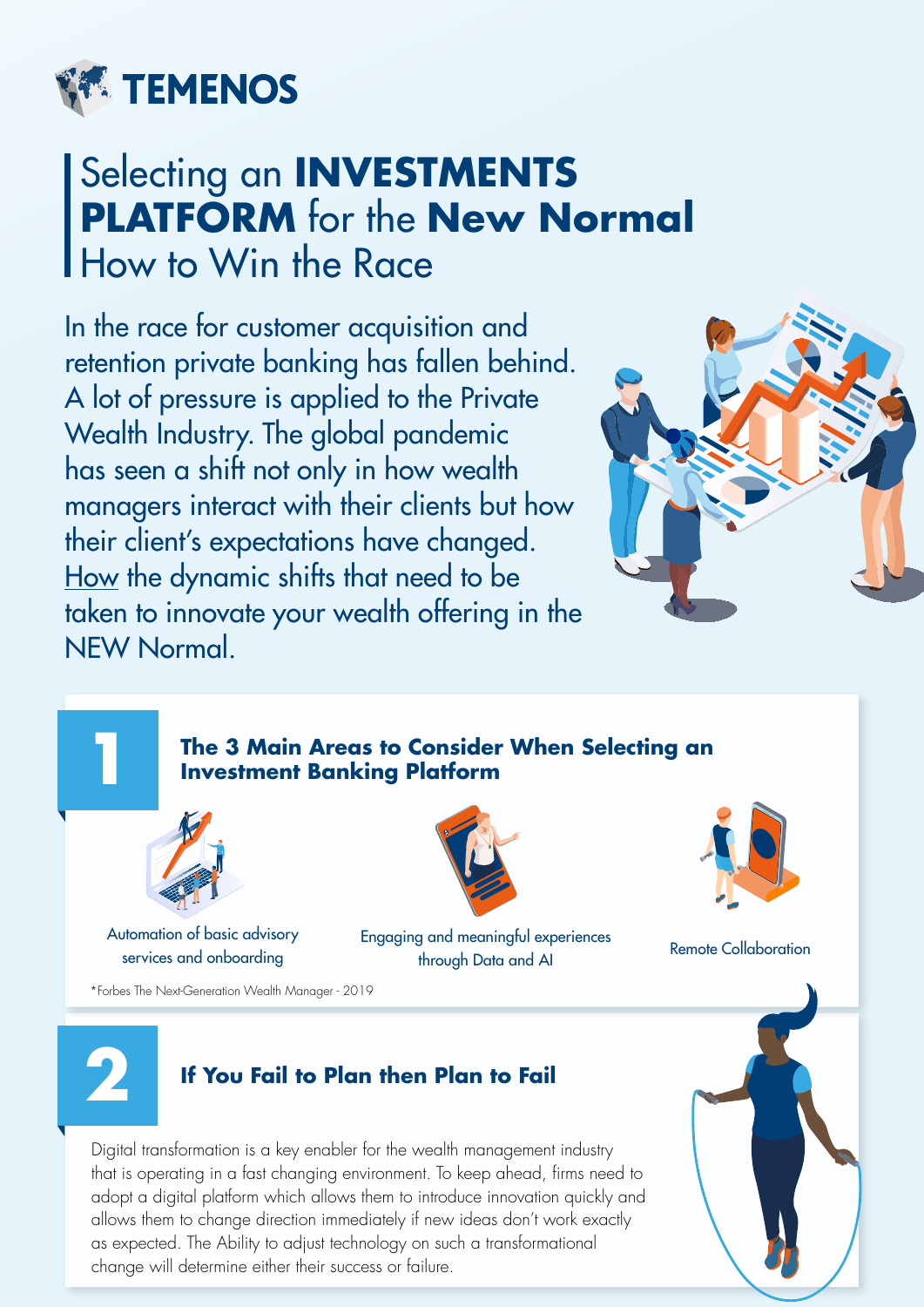

# Selecting an **INVESTMENTS PLATFORM** for the **New Normal** How to Win the Race

In the race for customer acquisition and retention private banking has fallen behind. A lot of pressure is applied to the Private Wealth Industry. The global pandemic has seen a shift not only in how wealth managers interact with their clients but how their client's expectations have changed. How the dynamic shifts that need to be taken to innovate your wealth offering in the NEW Normal.



#### **The 3 Main Areas to Consider When Selecting an Investment Banking Platform**



Automation of basic advisory services and onboarding





Engaging and meaningful experiences through Data and AI Remote Collaboration

\*Forbes The Next-Generation Wealth Manager - 2019



**1**

## **2 If You Fail to Plan then Plan to Fail**

Digital transformation is a key enabler for the wealth management industry that is operating in a fast changing environment. To keep ahead, firms need to adopt a digital platform which allows them to introduce innovation quickly and allows them to change direction immediately if new ideas don't work exactly as expected. The Ability to adjust technology on such a transformational change will determine either their success or failure.

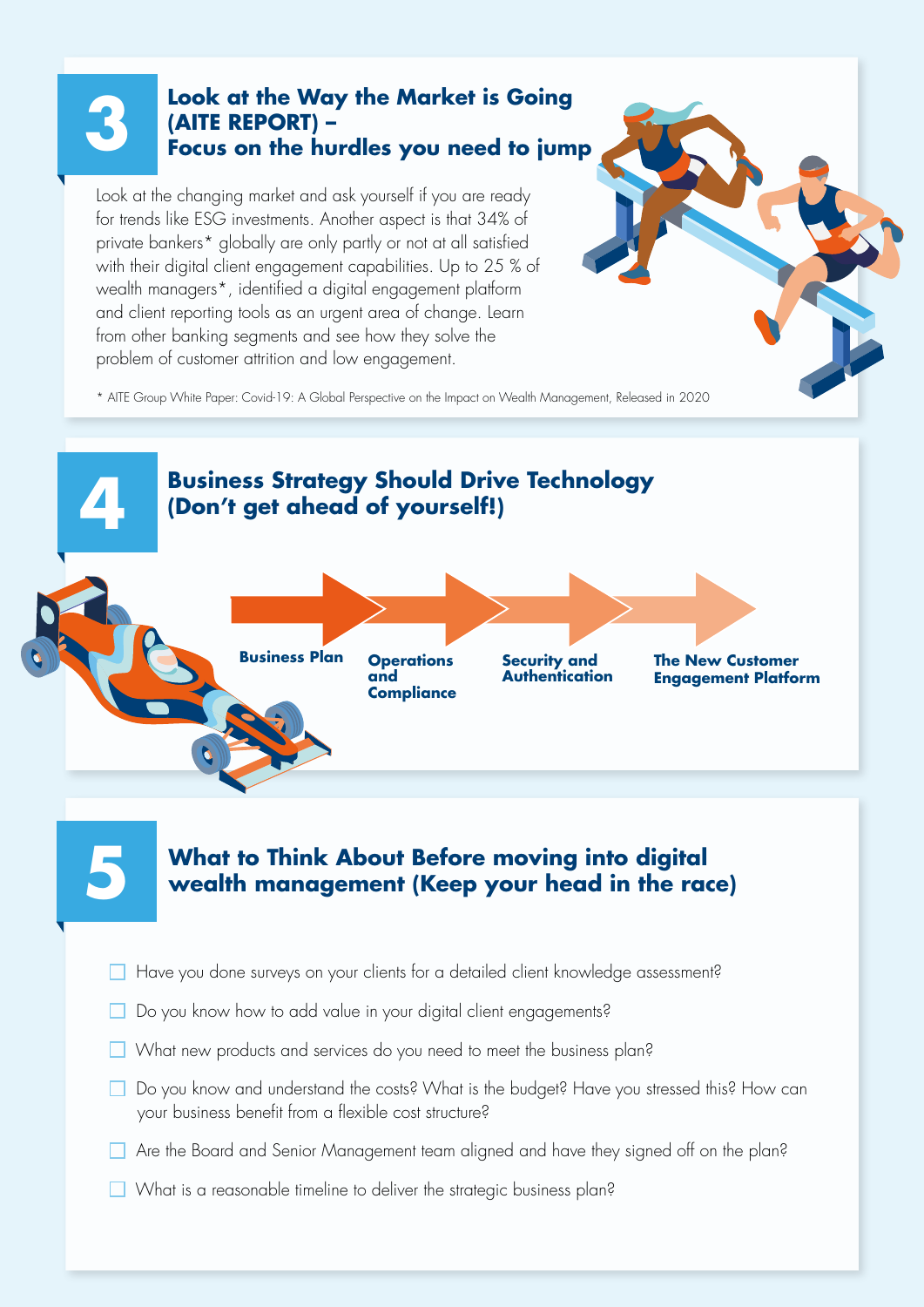#### **3 Look at the Way the Market is Going (AITE REPORT) – Focus on the hurdles you need to jump**

Look at the changing market and ask yourself if you are ready for trends like ESG investments. Another aspect is that 34% of private bankers\* globally are only partly or not at all satisfied with their digital client engagement capabilities. Up to 25 % of wealth managers\*, identified a digital engagement platform and client reporting tools as an urgent area of change. Learn from other banking segments and see how they solve the problem of customer attrition and low engagement.

\* AITE Group White Paper: Covid-19: A Global Perspective on the Impact on Wealth Management, Released in 2020



# **What to Think About Before moving into digital 5 wealth management (Keep your head in the race)**

- Have you done surveys on your clients for a detailed client knowledge assessment?
- Do you know how to add value in your digital client engagements?
- What new products and services do you need to meet the business plan?
- Do you know and understand the costs? What is the budget? Have you stressed this? How can your business benefit from a flexible cost structure?
- Are the Board and Senior Management team aligned and have they signed off on the plan?
- What is a reasonable timeline to deliver the strategic business plan?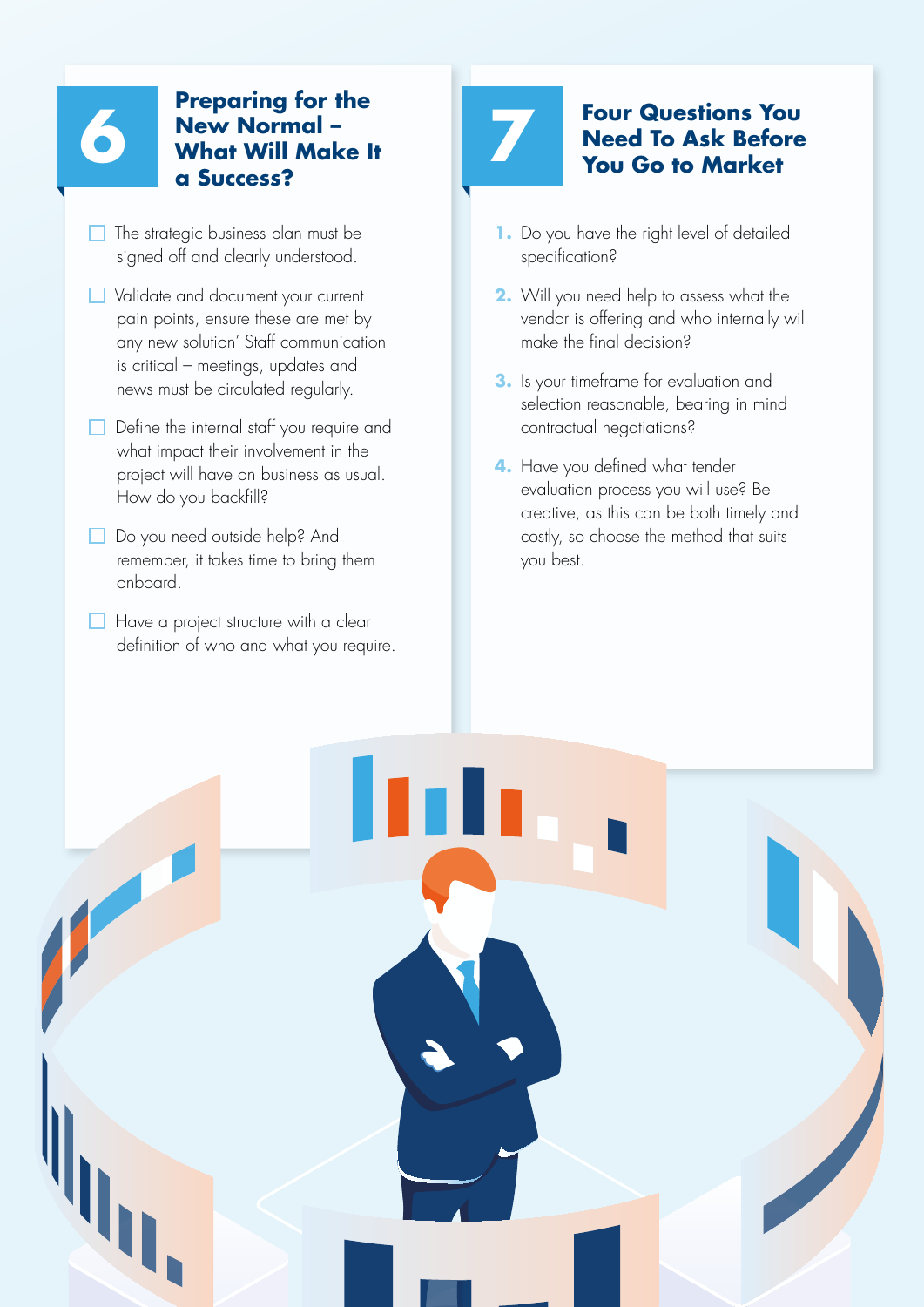# **6 7 Preparing for the What Will Make It New Normal – a Success?**

- $\Box$  The strategic business plan must be signed off and clearly understood.
- $\Box$  Validate and document your current pain points, ensure these are met by any new solution' Staff communication is critical – meetings, updates and news must be circulated regularly.
- Define the internal staff you require and what impact their involvement in the project will have on business as usual. How do you backfill?
- Do you need outside help? And remember, it takes time to bring them onboard.
- $\Box$  Have a project structure with a clear definition of who and what you require.

## **Four Questions You Need To Ask Before You Go to Market**

- **1.** Do you have the right level of detailed specification?
- **2.** Will you need help to assess what the vendor is offering and who internally will make the final decision?
- **3.** Is your timeframe for evaluation and selection reasonable, bearing in mind contractual negotiations?
- **4.** Have you defined what tender evaluation process you will use? Be creative, as this can be both timely and costly, so choose the method that suits you best.